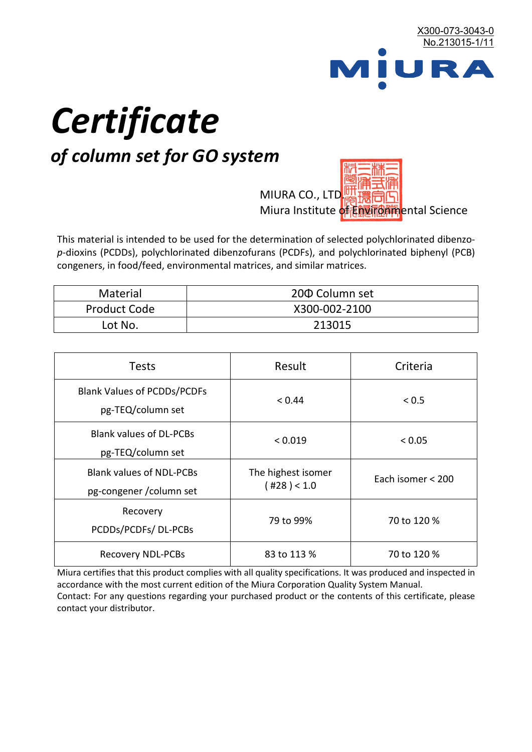

# *Certificate*

## *of column set for GO system*

MIURA CO., LTD. Miura Institute of 正版而解ental Science

This material is intended to be used for the determination of selected polychlorinated dibenzo*p*-dioxins (PCDDs), polychlorinated dibenzofurans (PCDFs), and polychlorinated biphenyl (PCB) congeners, in food/feed, environmental matrices, and similar matrices.

| <b>Material</b>     | 200 Column set |  |
|---------------------|----------------|--|
| <b>Product Code</b> | X300-002-2100  |  |
| Lot No.             | 213015         |  |

| <b>Tests</b>                                                | Result                            | Criteria          |  |
|-------------------------------------------------------------|-----------------------------------|-------------------|--|
| <b>Blank Values of PCDDs/PCDFs</b><br>pg-TEQ/column set     | < 0.44                            | ${}_{0.5}$        |  |
| <b>Blank values of DL-PCBs</b><br>pg-TEQ/column set         | < 0.019                           | < 0.05            |  |
| <b>Blank values of NDL-PCBs</b><br>pg-congener / column set | The highest isomer<br>(428) < 1.0 | Each isomer < 200 |  |
| Recovery<br>PCDDs/PCDFs/DL-PCBs                             | 79 to 99%                         | 70 to 120 %       |  |
| <b>Recovery NDL-PCBs</b>                                    | 83 to 113 %                       | 70 to 120 %       |  |

Miura certifies that this product complies with all quality specifications. It was produced and inspected in accordance with the most current edition of the Miura Corporation Quality System Manual. Contact: For any questions regarding your purchased product or the contents of this certificate, please contact your distributor.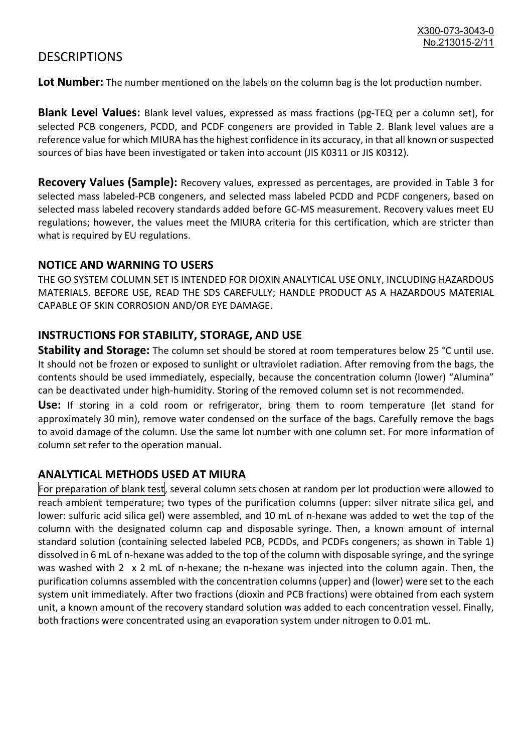### **DESCRIPTIONS**

**Lot Number:** The number mentioned on the labels on the column bag is the lot production number.

**Blank Level Values:** Blank level values, expressed as mass fractions (pg-TEQ per a column set), for selected PCB congeners, PCDD, and PCDF congeners are provided in Table 2. Blank level values are a reference value for which MIURA has the highest confidence in its accuracy, in that all known or suspected sources of bias have been investigated or taken into account (JIS K0311 or JIS K0312).

**Recovery Values (Sample):** Recovery values, expressed as percentages, are provided in Table 3 for selected mass labeled-PCB congeners, and selected mass labeled PCDD and PCDF congeners, based on selected mass labeled recovery standards added before GC-MS measurement. Recovery values meet EU regulations; however, the values meet the MIURA criteria for this certification, which are stricter than what is required by EU regulations.

#### **NOTICE AND WARNING TO USERS**

THE GO SYSTEM COLUMN SET IS INTENDED FOR DIOXIN ANALYTICAL USE ONLY, INCLUDING HAZARDOUS MATERIALS. BEFORE USE, READ THE SDS CAREFULLY; HANDLE PRODUCT AS A HAZARDOUS MATERIAL CAPABLE OF SKIN CORROSION AND/OR EYE DAMAGE.

#### **INSTRUCTIONS FOR STABILITY, STORAGE, AND USE**

**Stability and Storage:** The column set should be stored at room temperatures below 25 °C until use. It should not be frozen or exposed to sunlight or ultraviolet radiation. After removing from the bags, the contents should be used immediately, especially, because the concentration column (lower) "Alumina" can be deactivated under high-humidity. Storing of the removed column set is not recommended.

**Use:** If storing in a cold room or refrigerator, bring them to room temperature (let stand for approximately 30 min), remove water condensed on the surface of the bags. Carefully remove the bags to avoid damage of the column. Use the same lot number with one column set. For more information of column set refer to the operation manual.

#### **ANALYTICAL METHODS USED AT MIURA**

For preparation of blank test, several column sets chosen at random per lot production were allowed to reach ambient temperature; two types of the purification columns (upper: silver nitrate silica gel, and lower: sulfuric acid silica gel) were assembled, and 10 mL of n-hexane was added to wet the top of the column with the designated column cap and disposable syringe. Then, a known amount of internal standard solution (containing selected labeled PCB, PCDDs, and PCDFs congeners; as shown in Table 1) dissolved in 6 mL of n-hexane was added to the top of the column with disposable syringe, and the syringe was washed with 2 x 2 mL of n-hexane; the n-hexane was injected into the column again. Then, the purification columns assembled with the concentration columns (upper) and (lower) were set to the each system unit immediately. After two fractions (dioxin and PCB fractions) were obtained from each system unit, a known amount of the recovery standard solution was added to each concentration vessel. Finally, both fractions were concentrated using an evaporation system under nitrogen to 0.01 mL.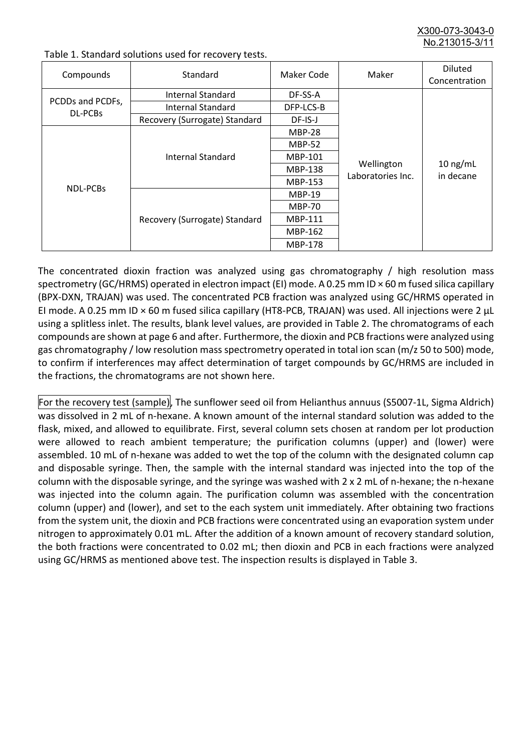X300-073-3043-0 No.213015-3/11

| Compounds                          | Standard                      | Maker Code     | Maker                           | <b>Diluted</b><br>Concentration |
|------------------------------------|-------------------------------|----------------|---------------------------------|---------------------------------|
| PCDDs and PCDFs,<br><b>DL-PCBs</b> | Internal Standard             | DF-SS-A        |                                 | $10$ ng/mL<br>in decane         |
|                                    | <b>Internal Standard</b>      | DFP-LCS-B      | Wellington<br>Laboratories Inc. |                                 |
|                                    | Recovery (Surrogate) Standard | DF-IS-J        |                                 |                                 |
| <b>NDL-PCBs</b>                    | Internal Standard             | <b>MBP-28</b>  |                                 |                                 |
|                                    |                               | <b>MBP-52</b>  |                                 |                                 |
|                                    |                               | MBP-101        |                                 |                                 |
|                                    |                               | <b>MBP-138</b> |                                 |                                 |
|                                    |                               | MBP-153        |                                 |                                 |
|                                    | Recovery (Surrogate) Standard | <b>MBP-19</b>  |                                 |                                 |
|                                    |                               | <b>MBP-70</b>  |                                 |                                 |
|                                    |                               | MBP-111        |                                 |                                 |
|                                    |                               | MBP-162        |                                 |                                 |
|                                    |                               | <b>MBP-178</b> |                                 |                                 |

Table 1. Standard solutions used for recovery tests.

The concentrated dioxin fraction was analyzed using gas chromatography / high resolution mass spectrometry (GC/HRMS) operated in electron impact (EI) mode. A 0.25 mm ID × 60 m fused silica capillary (BPX-DXN, TRAJAN) was used. The concentrated PCB fraction was analyzed using GC/HRMS operated in EI mode. A 0.25 mm ID × 60 m fused silica capillary (HT8-PCB, TRAJAN) was used. All injections were 2 μL using a splitless inlet. The results, blank level values, are provided in Table 2. The chromatograms of each compounds are shown at page 6 and after. Furthermore, the dioxin and PCB fractions were analyzed using gas chromatography / low resolution mass spectrometry operated in total ion scan (m/z 50 to 500) mode, to confirm if interferences may affect determination of target compounds by GC/HRMS are included in the fractions, the chromatograms are not shown here.

For the recovery test (sample), The sunflower seed oil from Helianthus annuus (S5007-1L, Sigma Aldrich) was dissolved in 2 mL of n-hexane. A known amount of the internal standard solution was added to the flask, mixed, and allowed to equilibrate. First, several column sets chosen at random per lot production were allowed to reach ambient temperature; the purification columns (upper) and (lower) were assembled. 10 mL of n-hexane was added to wet the top of the column with the designated column cap and disposable syringe. Then, the sample with the internal standard was injected into the top of the column with the disposable syringe, and the syringe was washed with 2 x 2 mL of n-hexane; the n-hexane was injected into the column again. The purification column was assembled with the concentration column (upper) and (lower), and set to the each system unit immediately. After obtaining two fractions from the system unit, the dioxin and PCB fractions were concentrated using an evaporation system under nitrogen to approximately 0.01 mL. After the addition of a known amount of recovery standard solution, the both fractions were concentrated to 0.02 mL; then dioxin and PCB in each fractions were analyzed using GC/HRMS as mentioned above test. The inspection results is displayed in Table 3.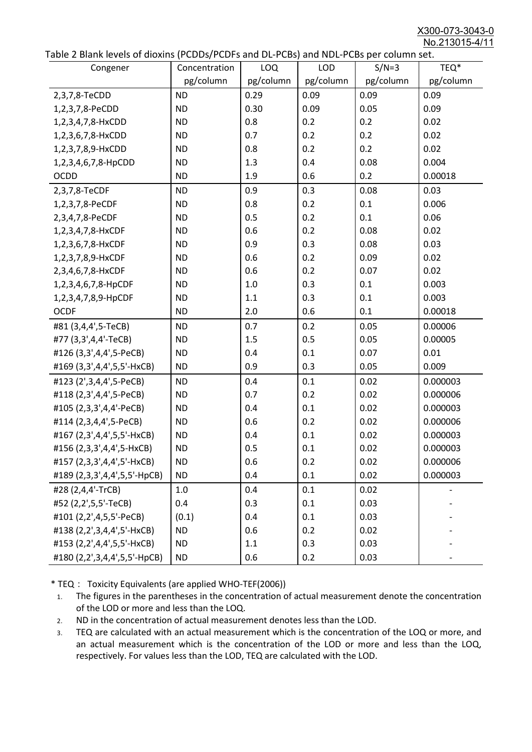X300-073-3043-0 No.213015-4/11

| able z blank levels of dioxins (I coosy I cors and be I cosy and NDET cos per column sett<br>Congener | Concentration | LOQ       | <b>LOD</b> | $S/N=3$   | TEQ*      |
|-------------------------------------------------------------------------------------------------------|---------------|-----------|------------|-----------|-----------|
|                                                                                                       | pg/column     | pg/column | pg/column  | pg/column | pg/column |
| 2,3,7,8-TeCDD                                                                                         | <b>ND</b>     | 0.29      | 0.09       | 0.09      | 0.09      |
| 1,2,3,7,8-PeCDD                                                                                       | <b>ND</b>     | 0.30      | 0.09       | 0.05      | 0.09      |
| 1,2,3,4,7,8-HxCDD                                                                                     | <b>ND</b>     | 0.8       | 0.2        | 0.2       | 0.02      |
| 1,2,3,6,7,8-HxCDD                                                                                     | <b>ND</b>     | 0.7       | 0.2        | 0.2       | 0.02      |
| 1,2,3,7,8,9-HxCDD                                                                                     | <b>ND</b>     | 0.8       | 0.2        | 0.2       | 0.02      |
| 1,2,3,4,6,7,8-HpCDD                                                                                   | <b>ND</b>     | 1.3       | 0.4        | 0.08      | 0.004     |
| <b>OCDD</b>                                                                                           | <b>ND</b>     | 1.9       | 0.6        | 0.2       | 0.00018   |
| 2,3,7,8-TeCDF                                                                                         | <b>ND</b>     | 0.9       | 0.3        | 0.08      | 0.03      |
| 1,2,3,7,8-PeCDF                                                                                       | <b>ND</b>     | 0.8       | 0.2        | 0.1       | 0.006     |
| 2,3,4,7,8-PeCDF                                                                                       | <b>ND</b>     | 0.5       | 0.2        | 0.1       | 0.06      |
| 1,2,3,4,7,8-HxCDF                                                                                     | <b>ND</b>     | 0.6       | 0.2        | 0.08      | 0.02      |
| 1,2,3,6,7,8-HxCDF                                                                                     | <b>ND</b>     | 0.9       | 0.3        | 0.08      | 0.03      |
| 1,2,3,7,8,9-HxCDF                                                                                     | <b>ND</b>     | 0.6       | 0.2        | 0.09      | 0.02      |
| 2,3,4,6,7,8-HxCDF                                                                                     | <b>ND</b>     | 0.6       | 0.2        | 0.07      | 0.02      |
| 1,2,3,4,6,7,8-HpCDF                                                                                   | <b>ND</b>     | 1.0       | 0.3        | 0.1       | 0.003     |
| 1,2,3,4,7,8,9-HpCDF                                                                                   | <b>ND</b>     | 1.1       | 0.3        | 0.1       | 0.003     |
| <b>OCDF</b>                                                                                           | <b>ND</b>     | 2.0       | 0.6        | 0.1       | 0.00018   |
| #81 (3,4,4',5-TeCB)                                                                                   | <b>ND</b>     | 0.7       | 0.2        | 0.05      | 0.00006   |
| #77 (3,3',4,4'-TeCB)                                                                                  | <b>ND</b>     | 1.5       | 0.5        | 0.05      | 0.00005   |
| #126 (3,3',4,4',5-PeCB)                                                                               | <b>ND</b>     | 0.4       | 0.1        | 0.07      | 0.01      |
| #169 (3,3',4,4',5,5'-HxCB)                                                                            | <b>ND</b>     | 0.9       | 0.3        | 0.05      | 0.009     |
| #123 (2',3,4,4',5-PeCB)                                                                               | <b>ND</b>     | 0.4       | 0.1        | 0.02      | 0.000003  |
| #118 (2,3',4,4',5-PeCB)                                                                               | <b>ND</b>     | 0.7       | 0.2        | 0.02      | 0.000006  |
| #105 (2,3,3',4,4'-PeCB)                                                                               | <b>ND</b>     | 0.4       | 0.1        | 0.02      | 0.000003  |
| #114 (2,3,4,4',5-PeCB)                                                                                | <b>ND</b>     | 0.6       | 0.2        | 0.02      | 0.000006  |
| #167 (2,3',4,4',5,5'-HxCB)                                                                            | <b>ND</b>     | 0.4       | 0.1        | 0.02      | 0.000003  |
| #156 (2,3,3',4,4',5-HxCB)                                                                             | <b>ND</b>     | 0.5       | 0.1        | 0.02      | 0.000003  |
| #157 (2,3,3',4,4',5'-HxCB)                                                                            | <b>ND</b>     | 0.6       | 0.2        | 0.02      | 0.000006  |
| #189 (2,3,3',4,4',5,5'-HpCB)                                                                          | <b>ND</b>     | 0.4       | 0.1        | 0.02      | 0.000003  |
| #28 (2,4,4'-TrCB)                                                                                     | 1.0           | 0.4       | 0.1        | 0.02      |           |
| #52 (2,2',5,5'-TeCB)                                                                                  | 0.4           | 0.3       | 0.1        | 0.03      |           |
| #101 (2,2',4,5,5'-PeCB)                                                                               | (0.1)         | 0.4       | 0.1        | 0.03      |           |
| #138 (2,2',3,4,4',5'-HxCB)                                                                            | <b>ND</b>     | 0.6       | 0.2        | 0.02      |           |
| #153 (2,2',4,4',5,5'-HxCB)                                                                            | <b>ND</b>     | 1.1       | 0.3        | 0.03      |           |
| #180 (2,2',3,4,4',5,5'-HpCB)                                                                          | <b>ND</b>     | 0.6       | 0.2        | 0.03      |           |

\* TEQ: Toxicity Equivalents (are applied WHO-TEF(2006))

- 1. The figures in the parentheses in the concentration of actual measurement denote the concentration of the LOD or more and less than the LOQ.
- 2. ND in the concentration of actual measurement denotes less than the LOD.
- 3. TEQ are calculated with an actual measurement which is the concentration of the LOQ or more, and an actual measurement which is the concentration of the LOD or more and less than the LOQ, respectively. For values less than the LOD, TEQ are calculated with the LOD.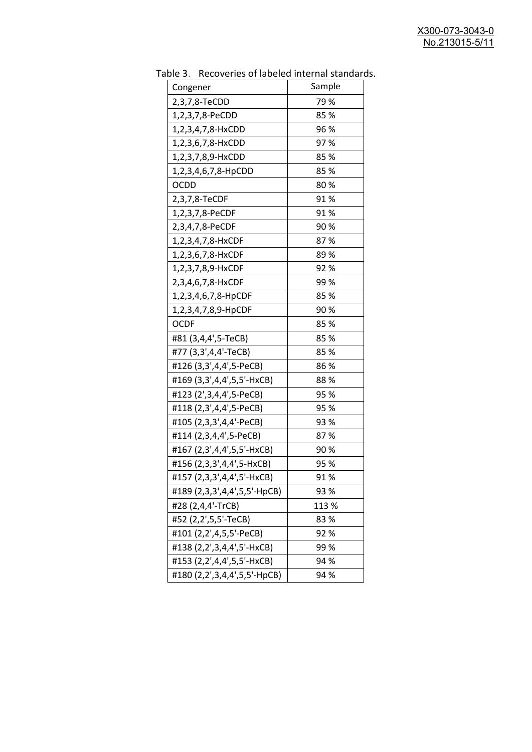| uwic J.<br><b>INCLUSION INTO THE MANUSCRY INTO THE STATISTICS</b><br>Congener | Sample |
|-------------------------------------------------------------------------------|--------|
| 2,3,7,8-TeCDD                                                                 | 79 %   |
| 1,2,3,7,8-PeCDD                                                               | 85%    |
| 1,2,3,4,7,8-HxCDD                                                             | 96 %   |
| 1,2,3,6,7,8-HxCDD                                                             | 97%    |
| 1,2,3,7,8,9-HxCDD                                                             | 85 %   |
| 1,2,3,4,6,7,8-HpCDD                                                           | 85 %   |
| <b>OCDD</b>                                                                   | 80%    |
| 2,3,7,8-TeCDF                                                                 | 91 %   |
| 1,2,3,7,8-PeCDF                                                               | 91%    |
| 2,3,4,7,8-PeCDF                                                               | 90%    |
| 1,2,3,4,7,8-HxCDF                                                             | 87%    |
| 1,2,3,6,7,8-HxCDF                                                             | 89 %   |
| 1,2,3,7,8,9-HxCDF                                                             | 92%    |
| 2,3,4,6,7,8-HxCDF                                                             | 99 %   |
| 1,2,3,4,6,7,8-HpCDF                                                           | 85 %   |
| 1,2,3,4,7,8,9-HpCDF                                                           | 90%    |
| <b>OCDF</b>                                                                   | 85%    |
| #81 (3,4,4',5-TeCB)                                                           | 85%    |
| #77 (3,3',4,4'-TeCB)                                                          | 85%    |
| #126 (3,3',4,4',5-PeCB)                                                       | 86 %   |
| #169 (3,3',4,4',5,5'-HxCB)                                                    | 88%    |
| #123 (2', 3, 4, 4', 5-PeCB)                                                   | 95 %   |
| #118 (2,3',4,4',5-PeCB)                                                       | 95 %   |
| #105 (2,3,3',4,4'-PeCB)                                                       | 93 %   |
| #114 (2,3,4,4',5-PeCB)                                                        | 87%    |
| #167 (2,3',4,4',5,5'-HxCB)                                                    | 90 %   |
| #156 (2,3,3',4,4',5-HxCB)                                                     | 95 %   |
| #157 (2,3,3',4,4',5'-HxCB)                                                    | 91 %   |
| #189 (2,3,3',4,4',5,5'-HpCB)                                                  | 93 %   |
| #28 (2,4,4'-TrCB)                                                             | 113 %  |
| #52 (2,2',5,5'-TeCB)                                                          | 83%    |
| #101 (2,2',4,5,5'-PeCB)                                                       | 92%    |
| #138 (2,2',3,4,4',5'-HxCB)                                                    | 99 %   |
| #153 (2,2',4,4',5,5'-HxCB)                                                    | 94 %   |
| #180 (2,2',3,4,4',5,5'-HpCB)                                                  | 94 %   |

Table 3. Recoveries of labeled internal standards.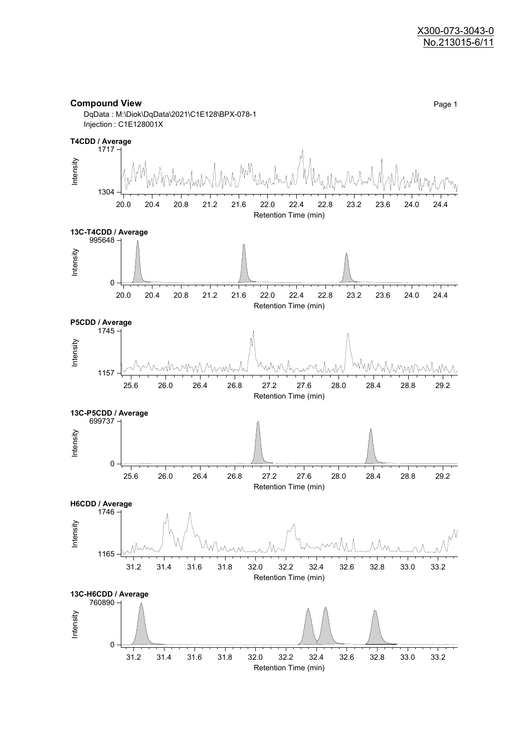

Retention Time (min)

**Compound View** Page 1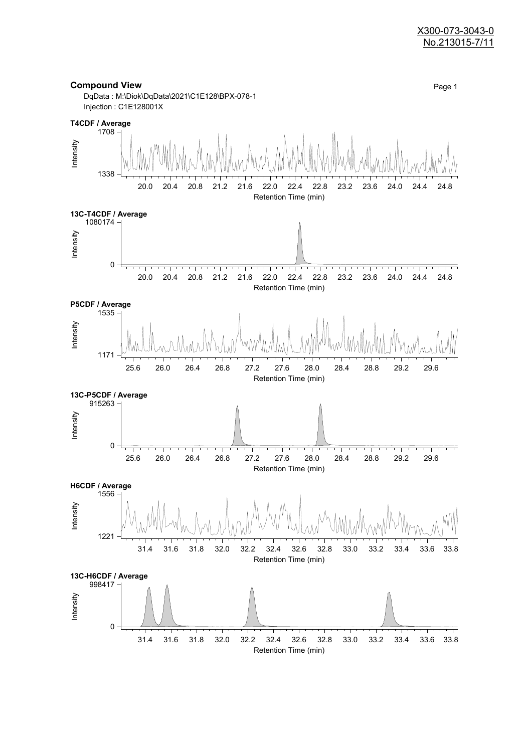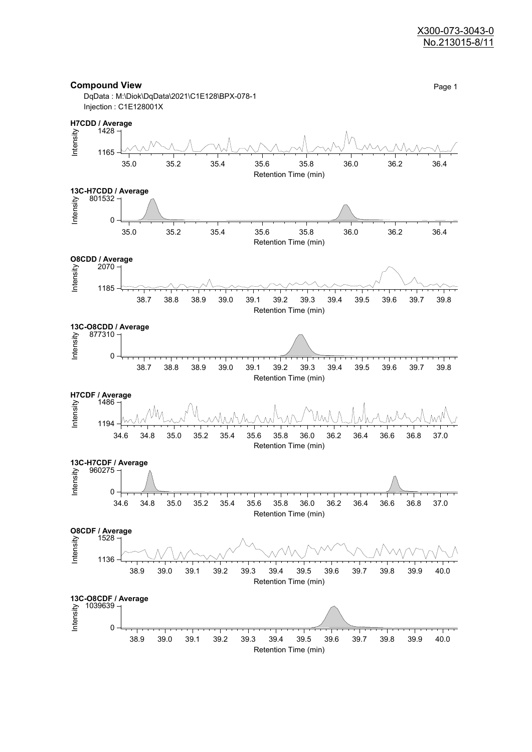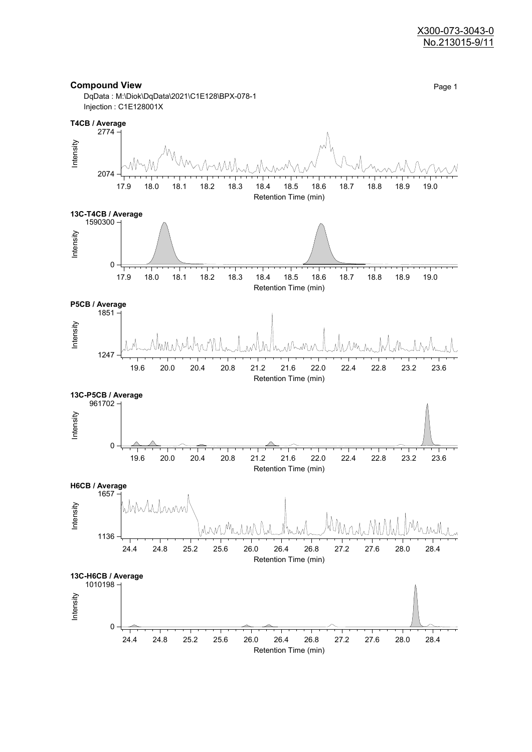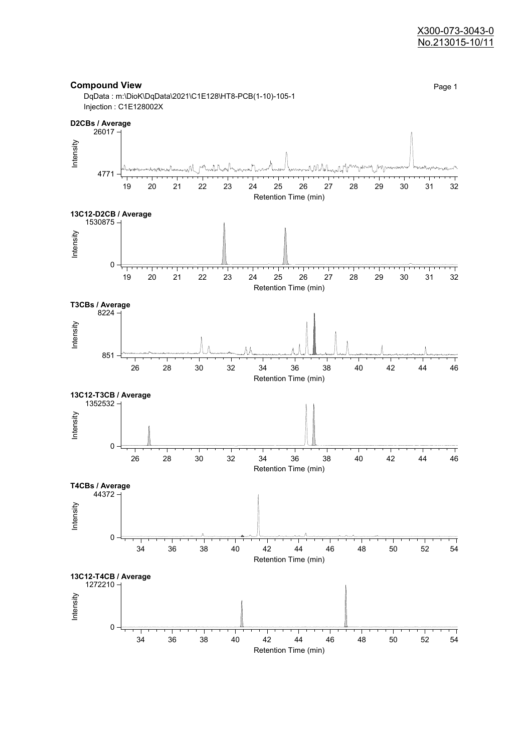